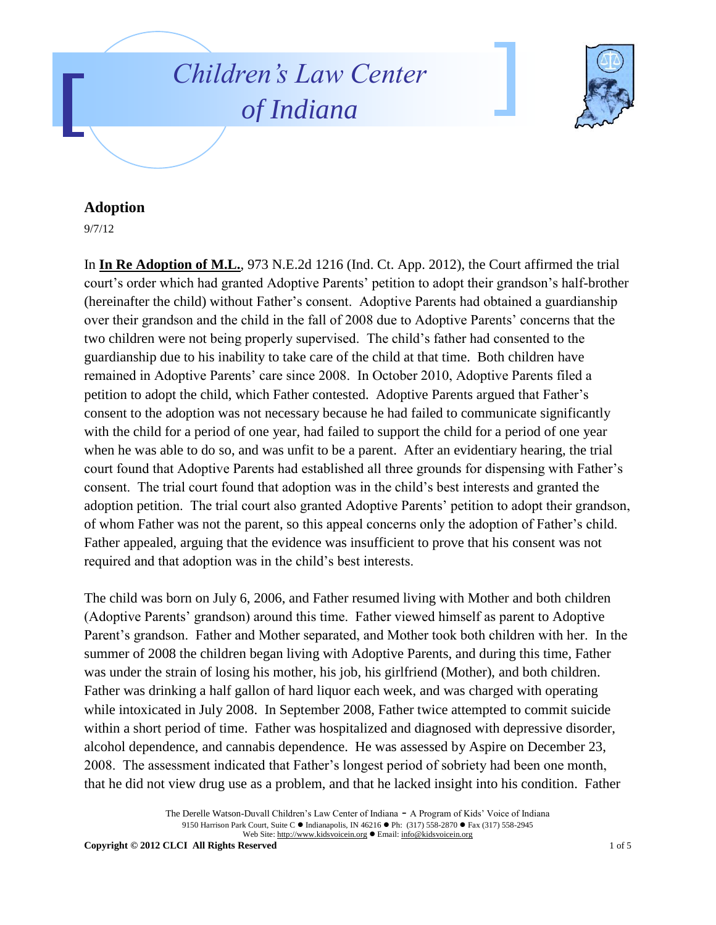## *Children's Law Center of Indiana*



## **Adoption**

9/7/12

In **In Re Adoption of M.L.**, 973 N.E.2d 1216 (Ind. Ct. App. 2012), the Court affirmed the trial court's order which had granted Adoptive Parents' petition to adopt their grandson's half-brother (hereinafter the child) without Father's consent. Adoptive Parents had obtained a guardianship over their grandson and the child in the fall of 2008 due to Adoptive Parents' concerns that the two children were not being properly supervised. The child's father had consented to the guardianship due to his inability to take care of the child at that time. Both children have remained in Adoptive Parents' care since 2008. In October 2010, Adoptive Parents filed a petition to adopt the child, which Father contested. Adoptive Parents argued that Father's consent to the adoption was not necessary because he had failed to communicate significantly with the child for a period of one year, had failed to support the child for a period of one year when he was able to do so, and was unfit to be a parent. After an evidentiary hearing, the trial court found that Adoptive Parents had established all three grounds for dispensing with Father's consent. The trial court found that adoption was in the child's best interests and granted the adoption petition. The trial court also granted Adoptive Parents' petition to adopt their grandson, of whom Father was not the parent, so this appeal concerns only the adoption of Father's child. Father appealed, arguing that the evidence was insufficient to prove that his consent was not required and that adoption was in the child's best interests.

The child was born on July 6, 2006, and Father resumed living with Mother and both children (Adoptive Parents' grandson) around this time. Father viewed himself as parent to Adoptive Parent's grandson. Father and Mother separated, and Mother took both children with her. In the summer of 2008 the children began living with Adoptive Parents, and during this time, Father was under the strain of losing his mother, his job, his girlfriend (Mother), and both children. Father was drinking a half gallon of hard liquor each week, and was charged with operating while intoxicated in July 2008. In September 2008, Father twice attempted to commit suicide within a short period of time. Father was hospitalized and diagnosed with depressive disorder, alcohol dependence, and cannabis dependence. He was assessed by Aspire on December 23, 2008. The assessment indicated that Father's longest period of sobriety had been one month, that he did not view drug use as a problem, and that he lacked insight into his condition. Father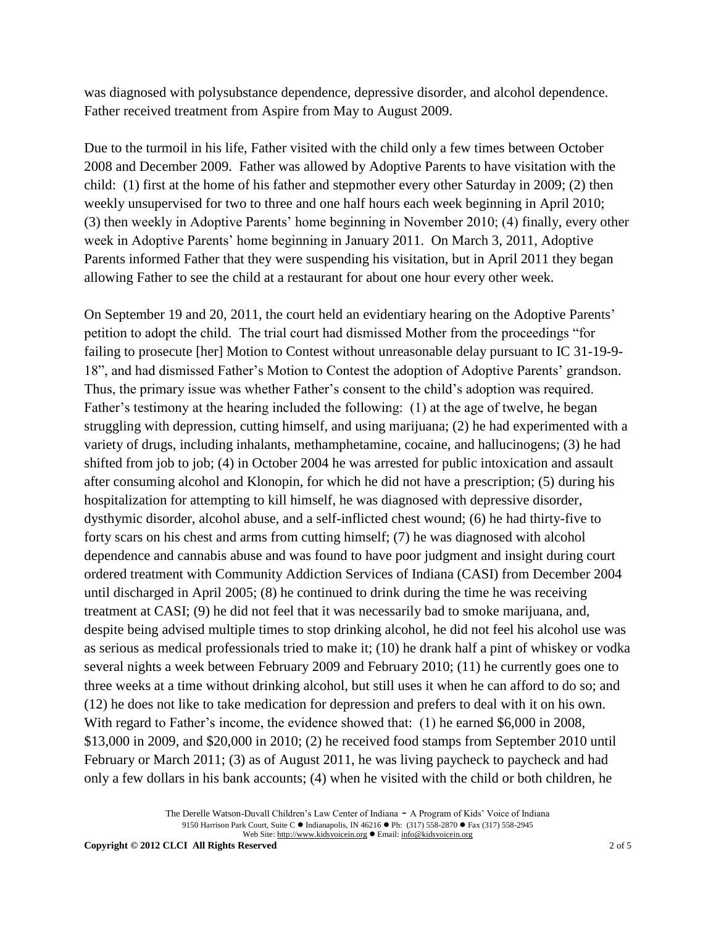was diagnosed with polysubstance dependence, depressive disorder, and alcohol dependence. Father received treatment from Aspire from May to August 2009.

Due to the turmoil in his life, Father visited with the child only a few times between October 2008 and December 2009. Father was allowed by Adoptive Parents to have visitation with the child: (1) first at the home of his father and stepmother every other Saturday in 2009; (2) then weekly unsupervised for two to three and one half hours each week beginning in April 2010; (3) then weekly in Adoptive Parents' home beginning in November 2010; (4) finally, every other week in Adoptive Parents' home beginning in January 2011. On March 3, 2011, Adoptive Parents informed Father that they were suspending his visitation, but in April 2011 they began allowing Father to see the child at a restaurant for about one hour every other week.

On September 19 and 20, 2011, the court held an evidentiary hearing on the Adoptive Parents' petition to adopt the child. The trial court had dismissed Mother from the proceedings "for failing to prosecute [her] Motion to Contest without unreasonable delay pursuant to IC 31-19-9- 18", and had dismissed Father's Motion to Contest the adoption of Adoptive Parents' grandson. Thus, the primary issue was whether Father's consent to the child's adoption was required. Father's testimony at the hearing included the following: (1) at the age of twelve, he began struggling with depression, cutting himself, and using marijuana; (2) he had experimented with a variety of drugs, including inhalants, methamphetamine, cocaine, and hallucinogens; (3) he had shifted from job to job; (4) in October 2004 he was arrested for public intoxication and assault after consuming alcohol and Klonopin, for which he did not have a prescription; (5) during his hospitalization for attempting to kill himself, he was diagnosed with depressive disorder, dysthymic disorder, alcohol abuse, and a self-inflicted chest wound; (6) he had thirty-five to forty scars on his chest and arms from cutting himself; (7) he was diagnosed with alcohol dependence and cannabis abuse and was found to have poor judgment and insight during court ordered treatment with Community Addiction Services of Indiana (CASI) from December 2004 until discharged in April 2005; (8) he continued to drink during the time he was receiving treatment at CASI; (9) he did not feel that it was necessarily bad to smoke marijuana, and, despite being advised multiple times to stop drinking alcohol, he did not feel his alcohol use was as serious as medical professionals tried to make it; (10) he drank half a pint of whiskey or vodka several nights a week between February 2009 and February 2010; (11) he currently goes one to three weeks at a time without drinking alcohol, but still uses it when he can afford to do so; and (12) he does not like to take medication for depression and prefers to deal with it on his own. With regard to Father's income, the evidence showed that: (1) he earned \$6,000 in 2008, \$13,000 in 2009, and \$20,000 in 2010; (2) he received food stamps from September 2010 until February or March 2011; (3) as of August 2011, he was living paycheck to paycheck and had only a few dollars in his bank accounts; (4) when he visited with the child or both children, he

> The Derelle Watson-Duvall Children's Law Center of Indiana - A Program of Kids' Voice of Indiana 9150 Harrison Park Court, Suite C · Indianapolis, IN 46216 · Ph: (317) 558-2870 · Fax (317) 558-2945 Web Site: http://www.kidsvoicein.org · Email: info@kidsvoicein.org

**Copyright © 2012 CLCI All Rights Reserved** 2 of 5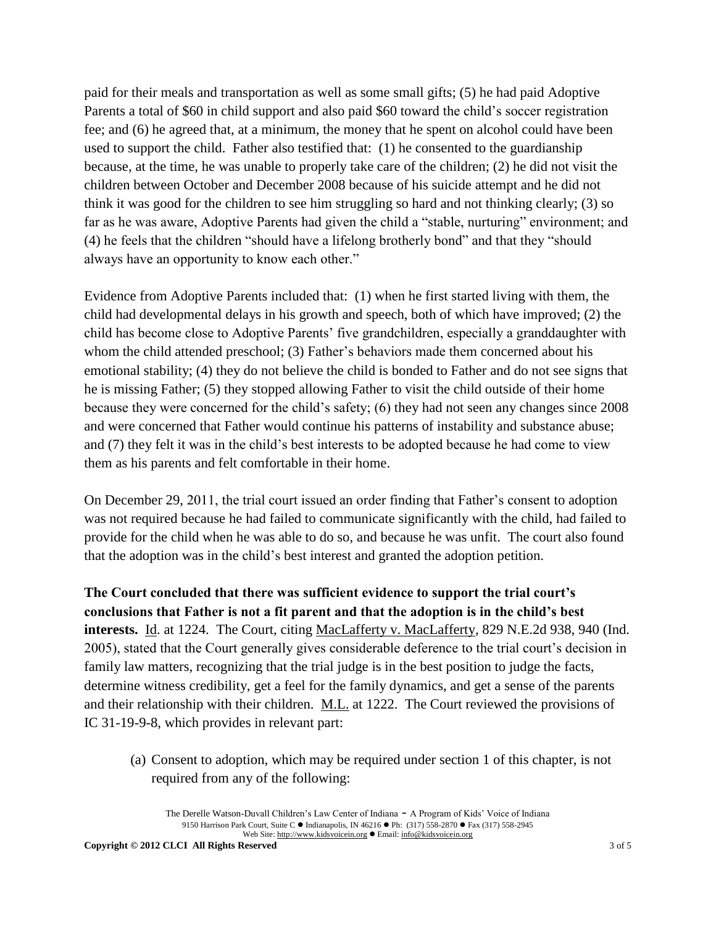paid for their meals and transportation as well as some small gifts; (5) he had paid Adoptive Parents a total of \$60 in child support and also paid \$60 toward the child's soccer registration fee; and (6) he agreed that, at a minimum, the money that he spent on alcohol could have been used to support the child. Father also testified that: (1) he consented to the guardianship because, at the time, he was unable to properly take care of the children; (2) he did not visit the children between October and December 2008 because of his suicide attempt and he did not think it was good for the children to see him struggling so hard and not thinking clearly; (3) so far as he was aware, Adoptive Parents had given the child a "stable, nurturing" environment; and (4) he feels that the children "should have a lifelong brotherly bond" and that they "should always have an opportunity to know each other."

Evidence from Adoptive Parents included that: (1) when he first started living with them, the child had developmental delays in his growth and speech, both of which have improved; (2) the child has become close to Adoptive Parents' five grandchildren, especially a granddaughter with whom the child attended preschool; (3) Father's behaviors made them concerned about his emotional stability; (4) they do not believe the child is bonded to Father and do not see signs that he is missing Father; (5) they stopped allowing Father to visit the child outside of their home because they were concerned for the child's safety; (6) they had not seen any changes since 2008 and were concerned that Father would continue his patterns of instability and substance abuse; and (7) they felt it was in the child's best interests to be adopted because he had come to view them as his parents and felt comfortable in their home.

On December 29, 2011, the trial court issued an order finding that Father's consent to adoption was not required because he had failed to communicate significantly with the child, had failed to provide for the child when he was able to do so, and because he was unfit. The court also found that the adoption was in the child's best interest and granted the adoption petition.

**The Court concluded that there was sufficient evidence to support the trial court's conclusions that Father is not a fit parent and that the adoption is in the child's best interests.** Id. at 1224. The Court, citing MacLafferty v. MacLafferty, 829 N.E.2d 938, 940 (Ind. 2005), stated that the Court generally gives considerable deference to the trial court's decision in family law matters, recognizing that the trial judge is in the best position to judge the facts, determine witness credibility, get a feel for the family dynamics, and get a sense of the parents and their relationship with their children. M.L. at 1222. The Court reviewed the provisions of IC 31-19-9-8, which provides in relevant part:

(a) Consent to adoption, which may be required under section 1 of this chapter, is not required from any of the following:

The Derelle Watson-Duvall Children's Law Center of Indiana - A Program of Kids' Voice of Indiana 9150 Harrison Park Court, Suite C · Indianapolis, IN 46216 · Ph: (317) 558-2870 · Fax (317) 558-2945 Web Site: http://www.kidsvoicein.org Email: info@kidsvoicein.org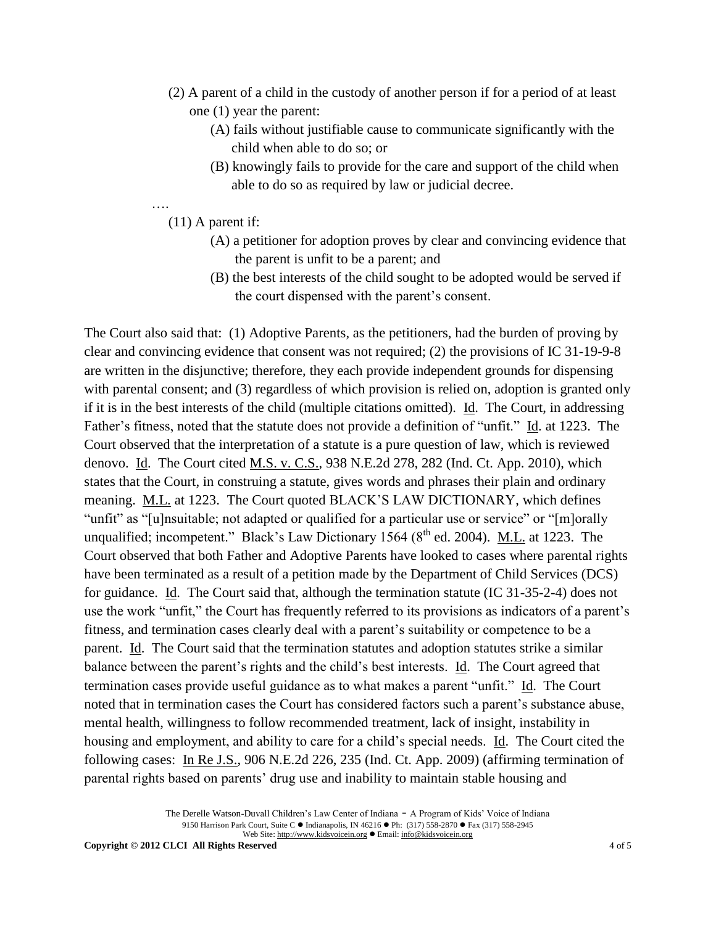- (2) A parent of a child in the custody of another person if for a period of at least one (1) year the parent:
	- (A) fails without justifiable cause to communicate significantly with the child when able to do so; or
	- (B) knowingly fails to provide for the care and support of the child when able to do so as required by law or judicial decree.

….

(11) A parent if:

- (A) a petitioner for adoption proves by clear and convincing evidence that the parent is unfit to be a parent; and
- (B) the best interests of the child sought to be adopted would be served if the court dispensed with the parent's consent.

The Court also said that: (1) Adoptive Parents, as the petitioners, had the burden of proving by clear and convincing evidence that consent was not required; (2) the provisions of IC 31-19-9-8 are written in the disjunctive; therefore, they each provide independent grounds for dispensing with parental consent; and (3) regardless of which provision is relied on, adoption is granted only if it is in the best interests of the child (multiple citations omitted). Id. The Court, in addressing Father's fitness, noted that the statute does not provide a definition of "unfit." Id. at 1223. The Court observed that the interpretation of a statute is a pure question of law, which is reviewed denovo. Id. The Court cited M.S. v. C.S., 938 N.E.2d 278, 282 (Ind. Ct. App. 2010), which states that the Court, in construing a statute, gives words and phrases their plain and ordinary meaning. M.L. at 1223. The Court quoted BLACK'S LAW DICTIONARY, which defines "unfit" as "[u]nsuitable; not adapted or qualified for a particular use or service" or "[m]orally unqualified; incompetent." Black's Law Dictionary 1564 ( $8<sup>th</sup>$  ed. 2004). M.L. at 1223. The Court observed that both Father and Adoptive Parents have looked to cases where parental rights have been terminated as a result of a petition made by the Department of Child Services (DCS) for guidance. Id. The Court said that, although the termination statute (IC 31-35-2-4) does not use the work "unfit," the Court has frequently referred to its provisions as indicators of a parent's fitness, and termination cases clearly deal with a parent's suitability or competence to be a parent. Id. The Court said that the termination statutes and adoption statutes strike a similar balance between the parent's rights and the child's best interests. Id. The Court agreed that termination cases provide useful guidance as to what makes a parent "unfit." Id. The Court noted that in termination cases the Court has considered factors such a parent's substance abuse, mental health, willingness to follow recommended treatment, lack of insight, instability in housing and employment, and ability to care for a child's special needs. Id. The Court cited the following cases: In Re J.S., 906 N.E.2d 226, 235 (Ind. Ct. App. 2009) (affirming termination of parental rights based on parents' drug use and inability to maintain stable housing and

> The Derelle Watson-Duvall Children's Law Center of Indiana - A Program of Kids' Voice of Indiana 9150 Harrison Park Court, Suite C · Indianapolis, IN 46216 · Ph: (317) 558-2870 · Fax (317) 558-2945 Web Site: http://www.kidsvoicein.org · Email: info@kidsvoicein.org